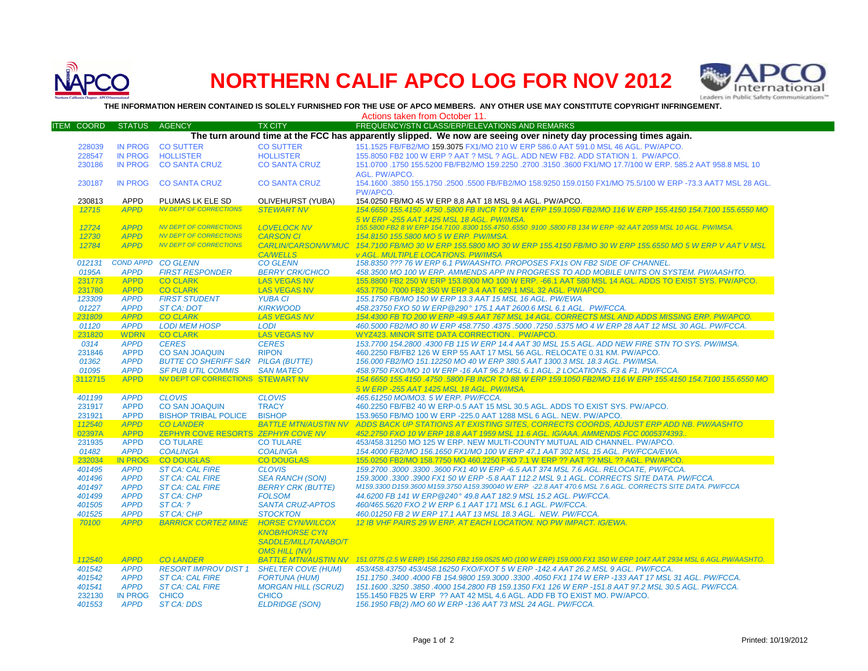

## **NORTHERN CALIF APCO LOG FOR NOV 2012**



**THE INFORMATION HEREIN CONTAINED IS SOLELY FURNISHED FOR THE USE OF APCO MEMBERS. ANY OTHER USE MAY CONSTITUTE COPYRIGHT INFRINGEMENT.**

|                   |                  |                            |                                                   |                                                          | Actions taken from October 11.                                                                                                                                                                         |
|-------------------|------------------|----------------------------|---------------------------------------------------|----------------------------------------------------------|--------------------------------------------------------------------------------------------------------------------------------------------------------------------------------------------------------|
| <b>ITEM COORD</b> |                  | <b>STATUS</b>              | <b>AGENCY</b>                                     | <b>TX CITY</b>                                           | FREQUENCY/STN CLASS/ERP/ELEVATIONS AND REMARKS                                                                                                                                                         |
|                   |                  |                            |                                                   |                                                          | The turn around time at the FCC has apparently slipped. We now are seeing over ninety day processing times again.                                                                                      |
|                   | 228039           | <b>IN PROG</b>             | <b>CO SUTTER</b>                                  | <b>CO SUTTER</b>                                         | 151.1525 FB/FB2/MO 159.3075 FX1/MO 210 W ERP 586.0 AAT 591.0 MSL 46 AGL, PW/APCO.                                                                                                                      |
|                   | 228547           | <b>IN PROG</b>             | <b>HOLLISTER</b>                                  | <b>HOLLISTER</b>                                         | 155,8050 FB2 100 W ERP ? AAT ? MSL ? AGL, ADD NEW FB2, ADD STATION 1, PW/APCO,                                                                                                                         |
|                   | 230186           | <b>IN PROG</b>             | <b>CO SANTA CRUZ</b>                              | <b>CO SANTA CRUZ</b>                                     | 151.0700 .1750 155.5200 FB/FB2/MO 159.2250 .2700 .3150 .3600 FX1/MO 17.7/100 W ERP. 585.2 AAT 958.8 MSL 10                                                                                             |
|                   |                  |                            |                                                   |                                                          | AGL. PW/APCO.                                                                                                                                                                                          |
|                   | 230187           | <b>IN PROG</b>             | <b>CO SANTA CRUZ</b>                              | <b>CO SANTA CRUZ</b>                                     | 154.1600 .3850 155.1750 .2500 .5500 FB/FB2/MO 158.9250 159.0150 FX1/MO 75.5/100 W ERP -73.3 AAT7 MSL 28 AGL.                                                                                           |
|                   |                  |                            |                                                   |                                                          | PW/APCO.                                                                                                                                                                                               |
|                   | 230813<br>12715  | APPD<br><b>APPD</b>        | PLUMAS LK ELE SD<br><b>NV DEPT OF CORRECTIONS</b> | OLIVEHURST (YUBA)<br><b>STEWART NV</b>                   | 154.0250 FB/MO 45 W ERP 8.8 AAT 18 MSL 9.4 AGL. PW/APCO.<br>154,6650 155,4150 ,4750 ,5800 FB INCR TO 88 W ERP 159,1050 FB2/MO 116 W ERP 155,4150 154,7100 155,6550 MO                                  |
|                   |                  |                            |                                                   |                                                          | 5 W ERP -255 AAT 1425 MSL 18 AGL. PW/IMSA.                                                                                                                                                             |
|                   | 12724            | <b>APPD</b>                | <b>NV DEPT OF CORRECTIONS</b>                     | <b>LOVELOCK NV</b>                                       | 155,5800 FB2 8 W ERP 154,7100 .8300 155,4750 .6550 .9100 .5800 FB 134 W ERP -92 AAT 2059 MSL 10 AGL, PW/IMSA.                                                                                          |
|                   | 12730            | <b>APPD</b>                | <b>NV DEPT OF CORRECTIONS</b>                     | <b>CARSON CI</b>                                         | 154.8150 155.5800 MO 5 W ERP. PW/IMSA.                                                                                                                                                                 |
|                   | 12784            | <b>APPD</b>                | <b>NV DEPT OF CORRECTIONS</b>                     | <b>CARLIN/CARSON/W'MUC</b>                               | 154.7100 FB/MO 30 W ERP 155.5800 MO 30 W ERP 155.4150 FB/MO 30 W ERP 155.6550 MO 5 W ERP V AAT V MSL                                                                                                   |
|                   |                  |                            |                                                   | <b>CA/WELLS</b>                                          | <b>VAGL. MULTIPLE LOCATIONS. PW/IMSA</b>                                                                                                                                                               |
|                   | 012131           | <b>COND APPD</b>           | <b>CO GLENN</b>                                   | <b>CO GLENN</b>                                          | 158.8350 ??? 76 W ERP 6.1 PW/AASHTO, PROPOSES FX1s ON FB2 SIDE OF CHANNEL                                                                                                                              |
|                   | 0195A            | <b>APPD</b>                | <b>FIRST RESPONDER</b>                            | <b>BERRY CRK/CHICO</b>                                   | 458.3500 MO 100 W ERP. AMMENDS APP IN PROGRESS TO ADD MOBILE UNITS ON SYSTEM. PW/AASHTO.                                                                                                               |
|                   | 231773           | <b>APPD</b>                | <b>CO CLARK</b>                                   | <b>LAS VEGAS NV</b>                                      | 155.8800 FB2 250 W ERP 153.8000 MO 100 W ERP. -66.1 AAT 580 MSL 14 AGL. ADDS TO EXIST SYS. PW/APCO.                                                                                                    |
|                   | 231780           | <b>APPD</b>                | <b>CO CLARK</b>                                   | <b>LAS VEGAS NV</b>                                      | 453.7750 .7000 FB2 350 W ERP 3.4 AAT 629.1 MSL 32 AGL. PW/APCO.                                                                                                                                        |
|                   | 123309           | <b>APPD</b>                | <b>FIRST STUDENT</b>                              | <b>YUBA CI</b>                                           | 155.1750 FB/MO 150 W ERP 13.3 AAT 15 MSL 16 AGL. PW/EWA                                                                                                                                                |
|                   | 01227            | <b>APPD</b>                | <b>ST CA: DOT</b>                                 | <b>KIRKWOOD</b>                                          | 458.23750 FXO 50 W ERP @290° 175.1 AAT 2600.6 MSL 6.1 AGL. PW/FCCA.                                                                                                                                    |
|                   | 231809           | <b>APPD</b><br><b>APPD</b> | <b>CO CLARK</b><br><b>LODI MEM HOSP</b>           | <b>LAS VEGAS NV</b><br><b>LODI</b>                       | 154.4300 FB TO 200 W ERP -49.5 AAT 767 MSL 14 AGL, CORRECTS MSL AND ADDS MISSING ERP. PW/APCO.<br>460.5000 FB2/MO 80 W ERP 458.7750 .4375 .5000 .7250 .5375 MO 4 W ERP 28 AAT 12 MSL 30 AGL. PW/FCCA.  |
|                   | 01120<br>231820  | <b>WDRN</b>                | <b>CO CLARK</b>                                   | <b>LAS VEGAS NV</b>                                      | WYZ423. MINOR SITE DATA CORRECTION. PW/APCO.                                                                                                                                                           |
|                   | 0314             | <b>APPD</b>                | <b>CERES</b>                                      | <b>CERES</b>                                             | 153.7700 154.2800 .4300 FB 115 W ERP 14.4 AAT 30 MSL 15.5 AGL. ADD NEW FIRE STN TO SYS. PW/IMSA.                                                                                                       |
|                   | 231846           | <b>APPD</b>                | <b>CO SAN JOAQUIN</b>                             | <b>RIPON</b>                                             | 460.2250 FB/FB2 126 W ERP 55 AAT 17 MSL 56 AGL. RELOCATE 0.31 KM. PW/APCO.                                                                                                                             |
|                   | 01362            | <b>APPD</b>                | <b>BUTTE CO SHERIFF S&amp;R PILGA (BUTTE)</b>     |                                                          | 156.000 FB2/MO 151.12250 MO 40 W ERP 380.5 AAT 1300.3 MSL 18.3 AGL. PW/IMSA.                                                                                                                           |
|                   | 01095            | <b>APPD</b>                | <b>SF PUB UTIL COMMIS</b>                         | <b>SAN MATEO</b>                                         | 458.9750 FXO/MO 10 W ERP -16 AAT 96.2 MSL 6.1 AGL. 2 LOCATIONS. F3 & F1. PW/FCCA.                                                                                                                      |
|                   | 3112715          | <b>APPD</b>                | NV DEPT OF CORRECTIONS STEWART NV                 |                                                          | 154.6650 155.4150 .4750 .5800 FB INCR TO 88 W ERP 159.1050 FB2/MO 116 W ERP 155.4150 154.7100 155.6550 MO                                                                                              |
|                   |                  |                            |                                                   |                                                          | 5 W ERP -255 AAT 1425 MSL 18 AGL. PW/IMSA.                                                                                                                                                             |
|                   | 401199           | <b>APPD</b>                | <b>CLOVIS</b>                                     | <b>CLOVIS</b>                                            | 465.61250 MO/MO3. 5 W ERP. PW/FCCA.                                                                                                                                                                    |
|                   | 231917           | <b>APPD</b>                | <b>CO SAN JOAQUIN</b>                             | <b>TRACY</b>                                             | 460.2250 FB/FB2 40 W ERP-0.5 AAT 15 MSL 30.5 AGL, ADDS TO EXIST SYS, PW/APCO,                                                                                                                          |
|                   | 231921           | <b>APPD</b>                | <b>BISHOP TRIBAL POLICE</b>                       | <b>BISHOP</b>                                            | 153.9650 FB/MO 100 W ERP -225.0 AAT 1288 MSL 6 AGL. NEW. PW/APCO.                                                                                                                                      |
|                   | 112540           | <b>APPD</b>                | <b>CO LANDER</b>                                  | <b>BATTLE MTN/AUSTIN NV</b>                              | ADDS BACK UP STATIONS AT EXISTING SITES, CORRECTS COORDS, ADJUST ERP ADD NB. PW/AASHTO                                                                                                                 |
|                   | 02397A           | <b>APPD</b>                | ZEPHYR COVE RESORTS ZEPHYR COVE NV                |                                                          | 452.2750 FXO 10 W ERP 18.8 AAT 1959 MSL 11.6 AGL, IG/AAA, AMMENDS FCC 0005374393.                                                                                                                      |
|                   | 231935           | <b>APPD</b><br><b>APPD</b> | <b>CO TULARE</b><br><b>COALINGA</b>               | <b>CO TULARE</b><br><b>COALINGA</b>                      | 453/458.31250 MO 125 W ERP. NEW MULTI-COUNTY MUTUAL AID CHANNEL. PW/APCO.<br>154.4000 FB2/MO 156.1650 FX1/MO 100 W ERP 47.1 AAT 302 MSL 15 AGL. PW/FCCA/EWA.                                           |
|                   | 01482<br>232034  | <b>IN PROG</b>             | <b>CO DOUGLAS</b>                                 | <b>CO DOUGLAS</b>                                        | 155.0250 FB2/MO 158.7750 MO 460.2250 FXO 7.1 W ERP ?? AAT ?? MSL ?? AGL. PW/APCO.                                                                                                                      |
|                   | 401495           | <b>APPD</b>                | <b>ST CA: CAL FIRE</b>                            | <b>CLOVIS</b>                                            | 159.2700.3000.3300.3600 FX1 40 W ERP -6.5 AAT 374 MSL 7.6 AGL. RELOCATE, PW/FCCA.                                                                                                                      |
|                   | 401496           | <b>APPD</b>                | <b>ST CA: CAL FIRE</b>                            | <b>SEA RANCH (SON)</b>                                   | 159.3000.3300.3900 FX1 50 W ERP -5.8 AAT 112.2 MSL 9.1 AGL. CORRECTS SITE DATA. PW/FCCA.                                                                                                               |
|                   | 401497           | <b>APPD</b>                | <b>ST CA: CAL FIRE</b>                            | <b>BERRY CRK (BUTTE)</b>                                 | M159.3300 D159.3600 M159.3750 A159.390040 W ERP -22.8 AAT 470.6 MSL 7.6 AGL. CORRECTS SITE DATA. PW/FCCA                                                                                               |
|                   | 401499           | <b>APPD</b>                | <b>ST CA: CHP</b>                                 | <b>FOLSOM</b>                                            | 44.6200 FB 141 W ERP @240° 49.8 AAT 182.9 MSL 15.2 AGL. PW/FCCA.                                                                                                                                       |
|                   | 401505           | <b>APPD</b>                | ST CA: ?                                          | <b>SANTA CRUZ-APTOS</b>                                  | 460/465.5620 FXO 2 W ERP 6.1 AAT 171 MSL 6.1 AGL. PW/FCCA.                                                                                                                                             |
|                   | 401525           | <b>APPD</b>                | <b>ST CA: CHP</b>                                 | <b>STOCKTON</b>                                          | 460.01250 FB 2 W ERP 17.1 AAT 13 MSL 18.3 AGL. NEW. PW/FCCA.                                                                                                                                           |
|                   | 70100            | <b>APPD</b>                | <b>BARRICK CORTEZ MINE</b>                        | <b>HORSE CYN/WILCOX</b>                                  | 12 IB VHF PAIRS 29 W ERP. AT EACH LOCATION. NO PW IMPACT. IG/EWA.                                                                                                                                      |
|                   |                  |                            |                                                   | <b>KNOB/HORSE CYN</b>                                    |                                                                                                                                                                                                        |
|                   |                  |                            |                                                   | SADDLE/MILL/TANABO/T                                     |                                                                                                                                                                                                        |
|                   |                  |                            |                                                   | <b>OMS HILL (NV)</b>                                     |                                                                                                                                                                                                        |
|                   | 112540<br>401542 | <b>APPD</b><br><b>APPD</b> | <b>CO LANDER</b><br><b>RESORT IMPROV DIST 1</b>   | <b>BATTLE MTN/AUSTIN NV</b><br><b>SHELTER COVE (HUM)</b> | 151.0775 (2.5 W ERP) 156.2250 FB2 159.0525 MO (100 W ERP) 159.000 FX1 350 W ERP 1047 AAT 2934 MSL 6 AGL.PW/AASHTO.<br>453/458.43750 453/458.16250 FXO/FXOT 5 W ERP -142.4 AAT 26.2 MSL 9 AGL, PW/FCCA. |
|                   | 401542           | <b>APPD</b>                | <b>ST CA: CAL FIRE</b>                            | <b>FORTUNA (HUM)</b>                                     | 151.1750.3400.4000 FB 154.9800 159.3000.3300.4050 FX1 174 W ERP -133 AAT 17 MSL 31 AGL. PW/FCCA.                                                                                                       |
|                   | 401541           | <b>APPD</b>                | <b>ST CA: CAL FIRE</b>                            | <b>MORGAN HILL (SCRUZ)</b>                               | 151.1600.3250.3850.4000 154.2800 FB 159.1350 FX1 126 W ERP -151.8 AAT 97.2 MSL 30.5 AGL. PW/FCCA.                                                                                                      |
|                   | 232130           | <b>IN PROG</b>             | <b>CHICO</b>                                      | <b>CHICO</b>                                             | 155.1450 FB25 W ERP ?? AAT 42 MSL 4.6 AGL, ADD FB TO EXIST MO, PW/APCO.                                                                                                                                |
|                   | 401553           | <b>APPD</b>                | <b>ST CA: DDS</b>                                 | <b>ELDRIDGE (SON)</b>                                    | 156.1950 FB(2) /MO 60 W ERP -136 AAT 73 MSL 24 AGL. PW/FCCA.                                                                                                                                           |